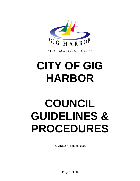

"THE MARITIME CITY"

# **CITY OF GIG HARBOR**

# **COUNCIL GUIDELINES & PROCEDURES**

**REVISED APRIL 25, 2022**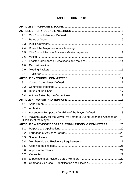# **TABLE OF CONTENTS**

| 2.1  |                                                                     |  |
|------|---------------------------------------------------------------------|--|
| 2.2  |                                                                     |  |
| 2.3  |                                                                     |  |
| 2.4  |                                                                     |  |
| 2.5  |                                                                     |  |
| 2.6  |                                                                     |  |
| 2.7  |                                                                     |  |
| 2.8  |                                                                     |  |
| 2.9  |                                                                     |  |
| 2.10 |                                                                     |  |
|      |                                                                     |  |
| 3.1  |                                                                     |  |
| 3.2  |                                                                     |  |
| 3.3  |                                                                     |  |
| 3.4  |                                                                     |  |
|      |                                                                     |  |
| 4.1  |                                                                     |  |
| 4.2  |                                                                     |  |
| 4.3  | Absence or Temporary Disability of the Mayor Defined 18             |  |
| 4.4  | Mayor's Salary for the Mayor Pro Tempore During Extended Absence or |  |
|      | ARTICLE 5 - ADVISORY BOARDS, COMMISSIONS, & COMMITTEES 20           |  |
| 5.1  |                                                                     |  |
| 5.2  |                                                                     |  |
| 5.3  |                                                                     |  |
| 5.4  |                                                                     |  |
| 5.5  |                                                                     |  |
| 5.6  |                                                                     |  |
| 5.7  |                                                                     |  |
| 5.8  |                                                                     |  |
| 5.9  |                                                                     |  |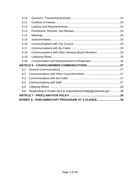| 5.10                                               |                                                                 |  |  |  |  |
|----------------------------------------------------|-----------------------------------------------------------------|--|--|--|--|
| 5.11                                               |                                                                 |  |  |  |  |
| 5.12                                               |                                                                 |  |  |  |  |
| 5.13                                               |                                                                 |  |  |  |  |
| 5.14                                               |                                                                 |  |  |  |  |
| 5.15                                               |                                                                 |  |  |  |  |
| 5.16                                               |                                                                 |  |  |  |  |
| 5.17                                               |                                                                 |  |  |  |  |
| 5.18                                               | Communications with Other Advisory Board Members  25            |  |  |  |  |
| 5.19                                               |                                                                 |  |  |  |  |
| 5.20                                               |                                                                 |  |  |  |  |
|                                                    |                                                                 |  |  |  |  |
| 6.1                                                |                                                                 |  |  |  |  |
| 6.2                                                |                                                                 |  |  |  |  |
| 6.3                                                |                                                                 |  |  |  |  |
| 6.4                                                |                                                                 |  |  |  |  |
| 6.5                                                |                                                                 |  |  |  |  |
| 6.6                                                | Responding to Emails Sent to mayorandcouncil@gigharborwa.gov 28 |  |  |  |  |
|                                                    |                                                                 |  |  |  |  |
| EXHIBIT A - PARLIAMENTARY PROCEDURE AT A GLANCE 30 |                                                                 |  |  |  |  |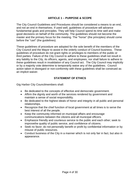## **ARTICLE 1 – PURPOSE & SCOPE**

<span id="page-3-0"></span>The City Council Guidelines and Procedures should be considered a means to an end, and not an end in themselves. If used well, guidelines of procedure will advance fundamental goals and principles. They will help Council spend its time well and make good decisions on behalf of the community. The guidelines should not become the master and the primary focus for the meeting. The "horse" (the principles) should come before the "cart" (the guidelines).

These guidelines of procedure are adopted for the sole benefit of the members of the City Council and the Mayor to assist in the orderly conduct of Council business. These guidelines of procedure do not grant rights or privileges to members of the public or third parties. Failure of the City Council to adhere to these guidelines shall not result in any liability to the City, its officers, agents, and employees, nor shall failure to adhere to these guidelines result in invalidation of any Council act. The City Council may implicitly or by a majority vote determine to temporarily waive any of the guidelines. Council action taken in disregard or non-conformity with these guidelines shall be construed as an implicit waiver.

## **STATEMENT OF ETHICS**

Gig Harbor City Councilmembers shall:

- Be dedicated to the concepts of effective and democratic government.
- Affirm the dignity and worth of the services rendered by government and maintain a sense of social responsibility.
- Be dedicated to the highest ideals of honor and integrity in all public and personal relationships.
- Recognize that the chief function of local government at all times is to serve the best interest of all the people.
- Keep the community informed on municipal affairs and encourage communications between the citizens and all municipal officers.
- Emphasize friendly and courteous service to the public and each other; seek to improvethe quality of public service, and confidence of citizens.
- Seek no favor; do not personally benefit or profit by confidential information or by misuse of public resources.
- Conduct business of the City in a manner which is not only fair in fact, but also in appearance.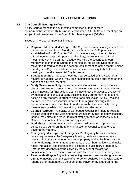## **ARTICLE 2 – CITY COUNCIL MEETINGS**

## <span id="page-4-1"></span><span id="page-4-0"></span>**2.1 City Council Meetings Defined**

A City Council meeting is any meeting comprised of four or more councilmembers where City business is conducted. All City Council meetings are subject to all provisions of the Open Public Meetings Act (OPMA).

Types of City Council meetings include:

- **Regular and Official Meetings** The City Council meets in regular session on the second and fourth Mondays of each month at 5:30 p.m., as established in GHMC Chapter 2.04. In the event any of the regular and official meeting days fall upon a legal holiday, the regular and official meeting day shall be on the Tuesday following the second and fourth Monday of each month. During the months of August and December, the Mayor is directed to cancel the second regular meeting of the month, unless the Mayor or City Council determines that it is necessary to hold these meetings to conduct essential City business.
- **Special Meetings** Special meetings may be called by the Mayor or a majority of Council. Council may take final action on items published on the agenda of a Special Meeting.
- **Study Sessions**  Study sessions provide Council with the opportunity to discuss and explore issues before progressing the matter to a regular and official meeting for final action. Council may direct the Mayor to direct staff by motion or consensus at study sessions, but Council may not take final action on any matters. In order to encourage discussion, Study Sessions are intended to be less formal in nature than regular meetings. It is appropriate for councilmembers to address each other informally during these meetings while still maintaining civility and decorum.
- **Council Retreats**  Annually, or as needed, Council may hold retreats to discuss work plans and visioning for future action. Similar to study sessions, Council may direct the Mayor to direct staff by motion or consensus, but Council may not take final action on any matters.
- **Workshops** Workshops are utilized to provide training or procedural guidance to Council on the role and function of Council and other City governance matters.
- **Emergency Meetings** An Emergency Meeting may be called without notice requirements. An Emergency Meeting deals with an emergency involving injury or damage to persons or property or the likelihood of such injury or damage, when time requirements of a 24-hour notice would make notice impractical and increase the likelihood of such injury or damage. Emergency Meetings may be called by the Mayor or majority of councilmembers. The minutes will indicate the reason for the emergency.
- **Remote Meetings –** Any of the preceding meetings may be designated as a remote meeting during a state of emergency declared by the City, state or federal government at the discretion of the Mayor, or by a quorum of the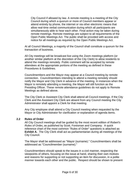City Council if allowed by law. A remote meeting is a meeting of the City Council during which a quorum or more of Council members appear or attend entirely by phone, the internet or via other electronic means that allow real-time verbal communication during which all participants are simultaneously able to hear each other. Final action may be taken during remote meetings. Remote meetings are subject to all requirements of the Open Public Meetings Act. The public shall be provided with access and notice for all meetings as required by the Open Public Meetings Act.

At all Council Meetings, a majority of the Council shall constitute a quorum for the transaction of business.

All City meetings will be broadcast live using the Zoom meetings platform (or another similar platform at the discretion of the City Clerk) to allow residents to attend the meetings remotely. Public comment will be accepted by remote attendees at the appropriate portions of the meeting as defined in these Procedures & Guidelines.

Councilmembers and the Mayor may appear at a Council meeting by remote connection. Councilmembers intending to attend a meeting remotely should notify the Mayor and City Clerk in advance of the meeting. In instances when the Mayor is remotely attending a meeting, the Mayor will still function as the Presiding Officer. These remote attendance guidelines do not apply to Remote Meetings as defined above.

The City Clerk or Assistant City Clerk shall attend all Council meetings. If the City Clerk and the Assistant City Clerk are absent from any Council meeting the City Administrator shall appoint a Clerk for that meeting.

Any City employee shall attend a City Council meeting when requested by the Mayor or City Administrator for clarification or explanation of agenda items.

#### <span id="page-5-0"></span>**2.2 Rules of Order**

All City Council meetings shall be guided by the most recent edition of *Robert's Rules of Order,* as published by Scott, Foresman and Company. A quick reference chart of the most common "Rules of Order" questions is attached as **Exhibit A.** The City Clerk shall act as parliamentarian during all meetings of the City Council.

The Mayor shall be addressed as "Mayor (surname)." Councilmembers shall be addressed as "Councilmember (surname)."

Councilmembers should speak to the issues in a civil manner, respecting the viewpoints of others, focusing on the issue at hand, sharing their own motives and reasons for supporting or not supporting an item for discussion, in a polite manner towards each other and the public. Respect should be shown to present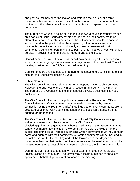and past councilmembers, the mayor, and staff. If a motion is on the table, councilmember comments should speak to the motion. If an amendment to a motion is on the table, councilmember comments should speak only to the amendment.

The purpose of Council discussion is to make known a councilmember's stance on a particular issue. Councilmembers should not use their comments in an attempt to debate their fellow councilmembers. Comments should be concise, succinct, and to the point. Rather than repeating other councilmembers comments, councilmembers should simply express agreement with prior comments. Councilmembers may call a "point of order" if another councilmember persists in providing comment that is not germane to the issue.

Councilmembers may not email, text, or call anyone during a Council meeting, except in an emergency. Councilmembers may not record or broadcast Council meetings, aside from the City's authorized recording.

Councilmembers shall be seated in a manner acceptable to Council. If there is a dispute, the Council will decide by vote.

#### <span id="page-6-0"></span>**2.3 Public Comment**

The City Council desires to allow a maximum opportunity for public comment. However, the business of the City must proceed in an orderly, timely manner. The purpose of a Council meeting is to conduct the City's business; it is not a public forum.

The City Council will accept oral public comments at its Regular and Official Council Meetings. Oral comments may be made in person or by remote connection using the Zoom (or similar) meetings platform. Oral comments are not accepted at all other City Council meetings unless specifically noticed on the agenda for the meeting.

The City Council will accept written comments for all City Council meetings. Written comments must be submitted to the City Clerk at [cityclerk@gigharborwa.gov](mailto:cityclerk@gigharborwa.gov) at least 4 hours in advance of the meeting start time. Written comments must include the words "FOR PUBLIC COMMENT" in the subject line of the email. Persons submitting written comments must include their name and address with their comments. All written comments will be included in the online packet for the meeting and will be forwarded to the Mayor and councilmembers for their review. Written comments will be read aloud during the meeting upon the request of the commenter, subject to the 3 minute time limit.

During regular meetings, speakers will be allotted 3 minutes per individual, unless revised by the Mayor. The Mayor may allocate 5 minutes to speakers speaking on behalf of groups in attendance at the meeting.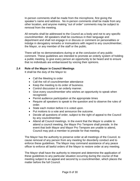In-person comments shall be made from the microphone, first giving the speaker's name and address. No in-person comments shall be made from any other location, and anyone making "out of order" comments may be subject to removal from the meeting.

All remarks shall be addressed to the Council as a body and not to any specific councilmember. All speakers shall be courteous in their language and deportment and shall not engage in or discuss or comment on personalities or indulge in derogatory remarks or insinuations with regard to any councilmember, the Mayor, or any member of the staff or the public.

There will be no demonstrations during or at the conclusion of any public comment. These guidelines are intended to promote an orderly system of holding a public meeting, to give every person an opportunity to be heard and to ensure that no individuals are embarrassed by voicing their opinions.

### <span id="page-7-0"></span>**2.4 Role of the Mayor in Council Meetings**

It shall be the duty of the Mayor to:

- Call the Meeting to order
- Call the roll of councilmember attendance
- Keep the meeting to its order of business.
- Control discussion in an orderly manner.
- Give every councilmember who wishes an opportunity to speak when recognized.
- Permit audience participation at the appropriate times
- Require all speakers to speak to the question and to observe the rules of order.
- State each motion before it is voted upon.
- Put motions to a vote and announce the outcome.
- Decide all questions of order, subject to the right of appeal to the Council by any councilmember.
- Attend all Council meetings. In the event that the Mayor is unable to attend a council meeting, the Mayor Pro Tempore shall preside. In the event that both Mayor and Mayor Pro Tempore are unable to attend, Council may pick a member to preside for that meeting.

The Mayor has the authority to preserve order at all meetings of the Council, to cause removal of any person from any meeting for disorderly conduct and to enforce these guidelines. The Mayor may command assistance of any peace officer to enforce all lawful orders of the Mayor to restore order at any meeting.

The Mayor shall have the authority to interpret and determine the application of these guidelines to any particular situation occurring during the course of that meeting subject to an appeal and second by a councilmember, which places the matter before the full Council.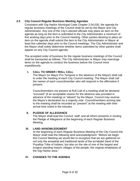## <span id="page-8-0"></span>**2.5 City Council Regular Business Meeting Agendas**

Consistent with Gig Harbor Municipal Code Chapter 2.04.030, the agenda for regular business meetings of the Council shall be set by the Mayor and City Administrator. Any one of the City's elected officials may place an item on the agenda as long as the item is submitted to the City Administrator a minimum of five working days prior to the Council meeting. Other parties desiring to place an item on the agenda shall submit the item to the City Administrator or Mayor at least five calendar days prior to the Council meetings. The City Administrator and the Mayor shall solely determine whether items submitted by other parties shall appear on any City Council agenda.

The accepted order of business for the regular business meetings of the Council shall be transacted as follows. The City Administrator or Mayor may rearrange items on the agenda to conduct the business before the Council more expeditiously.

## **I. CALL TO ORDER / ROLL CALL**

The Mayor (or Mayor Pro Tempore in the absence of the Mayor) shall call to order the meeting of each City Council meeting. The Mayor shall call the names of each councilmember who will respond in the affirmative if present.

Councilmembers not present at Roll Call of a meeting shall be declared "excused" (if an acceptable reason for the absence was provided in advance of the meeting) or "absent" by the Mayor. Council may reverse the Mayor's declaration by a majority vote. Councilmembers arriving late to the meeting shall be recorded as "present" at the meeting with their arrival time noted in the minutes.

#### **II. PLEDGE OF ALLEGIANCE**

The Mayor shall lead the Council, staff, and all others presents in reciting the Pledge of Allegiance at the beginning of each Regular Business Meeting.

#### **III. LAND AKNOWLEDGMENT**

At the beginning of each Regular Business Meeting of the City Council the Mayor shall read the following land acknowledgment: "Before we begin this Council Meeting we would like to recognize that we are gathered on not only the ancestral and traditional lands of the sxʷəbabč band of the Puyallup Tribe of Indians, but also on the site of one of the largest and longest standing historic villages of the people, the original inhabitants of the Gig Harbor area."

## **IV. CHANGES TO THE AGENDA**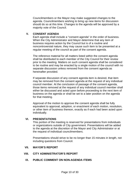Councilmembers or the Mayor may make suggested changes to the agenda. Councilmembers wishing to bring up new items for discussion should do so at this time. Changes to the agenda will be approved by a majority vote of the Council.

## **V. CONSENT AGENDA**

Each agenda shall include a "consent agenda" in the order of business. When the City Administrator and Mayor determine that any item of business requires action by the Council but is of a routine and noncontroversial nature, they may cause such item to be presented at a regular meeting of the council as part of the consent agenda.

The reference material for all matters listed within the consent agenda shall be distributed to each member of the City Council for their review prior to the meeting. Matters on such consent agenda shall be considered to be routine and may be enacted by a single motion of the council with no separate discussion unless removed from the consent agenda as hereinafter provided.

If separate discussion of any consent agenda item is desired, that item may be removed from the consent agenda at the request of any individual council member. At the conclusion of passage of the consent agenda, those items removed at the request of any individual council member shall either be discussed and acted upon before proceeding to the next item of business on the agenda or shall be set to a later position on the agenda for that meeting.

Approval of the motion to approve the consent agenda shall be fully equivalent to approval, adoption, or enactment of each motion, resolution, or other item of business thereon, exactly as if each had been acted upon individually.

#### **VI. PRESENTATIONS**

This portion of the meeting is reserved for presentations from individuals or organizations outside of City government. Presentations will be added to the agenda at the discretion of the Mayor and City Administrator or at the request of individual councilmembers.

Presentations should strive to be no longer than 15 minutes in length, not including questions from Council.

#### **VII. MAYOR'S REPORT**

#### **VIII. CITY ADMINISTRATOR'S REPORT**

#### **IX. PUBLIC COMMENT ON NON-AGENDA ITEMS**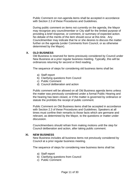Public Comment on non-agenda items shall be accepted in accordance with Section 2.3 of these Procedures and Guidelines.

During public comment on items not currently on the agenda, the Mayor may recognize any councilmember or City staff for the limited purpose of providing a brief response, or comment, or summary of expected action. No debate of the merits of the item should occur at this time. Any Councilmember may indicate that he or she desires to discuss the matter further on the agenda (under Comments from Council, or as otherwise determined by the Mayor).

## **X. OLD BUSINESS**

Old Business is reserved for items previously considered by Council under New Business at a prior regular business meeting. Typically, this will be ordinances returning for second or third reading.

The sequence of steps for considering old business items shall be:

- a) Staff report
- b) Clarifying questions from Council
- c) Public Comment
- d) Council deliberation and action

Public comment will be allowed on all Old Business agenda items unless the matter was previously considered under a formal Public Hearing and the hearing has been closed, or if the matter is governed by ordinance or statute the prohibits the receipt of public comment.

Public Comment on Old Business items shall be accepted in accordance with Section 2.3 of these Procedures and Guidelines. Speakers at all times must confine their remarks to those facts which are germane and relevant, as determined by the Mayor, to the questions or matter under discussion.

Councilmembers should refrain from making motions until the step for Council deliberation and action, after taking public comment.

#### **XI. NEW BUSINESS**

New Business includes all business items not previously considered by Council at a prior regular business meeting.

The sequence of steps for considering new business items shall be:

- a) Staff report
- b) Clarifying questions from Council
- c) Public Comment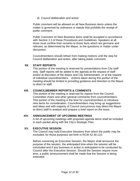d) Council deliberation and action

Public comment will be allowed on all New Business items unless the matter is governed by ordinance or statute that prohibits the receipt of public comment.

Public Comment on New Business items shall be accepted in accordance with Section 2.3 of these Procedures and Guidelines. Speakers at all times must confine their remarks to those facts which are germane and relevant, as determined by the Mayor, to the questions or matter under discussion.

Councilmembers should refrain from making motions until the step for Council deliberation and action, after taking public comment.

### **XII. STAFF REPORTS**

This portion of the meeting is reserved for presentations from City staff only. Staff reports will be added to the agenda at the request of staff and/or at discretion of the Mayor and City Administrator, or at the request of individual councilmembers. Actions taken during this portion of the meeting should be limited to providing guidance and direction to the Mayor to direct to staff.

## **XIII. COUNCILMEMBER REPORTS & COMMENTS**

This portion of the meeting is reserved for reports from the Council Committee chairs and other general comments from councilmembers. This portion of the meeting is the time for councilmembers to introduce new items for consideration. Councilmembers may bring up suggestions and ideas and with majority of Council concurrence may direct the Mayor to direct staff to analyze and prepare a brief report on the issue.

#### **XIV. ANNOUNCEMENT OF UPCOMING MEETINGS**

A list of upcoming meetings with proposed agenda items shall be included in each packet along with the City's Strategic Plan.

#### **XV. EXECUTIVE SESSION**

The Council may hold Executive Sessions from which the public may be excluded, for those purposes set forth in RCW 42.30.110.

Before convening an Executive Session, the Mayor shall announce the purpose of the session, the anticipated time when the session will be concluded and if any business or action is anticipated to be conducted by Council after the Executive Session. Should the Session require more time, a public announcement shall be made that the Session is being extended.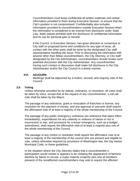Councilmembers must keep confidential all written materials and verbal information provided to them during Executive Session, to ensure that the City's position is not compromised. Confidentiality also includes information provided to councilmembers outside Executive Session when the information is considered to be exempt from disclosure under State Law. State statute prohibits both the disclosure of confidential information and its use for personal gain or benefit.

If the Council, in Executive Session, has given direction or consensus to City staff on proposed terms and conditions for any type of issue, all contact with the other party shall be done by the designated City staff representative handling the issue. Prior to discussing the information with anyone other than fellow councilmembers, the City Attorney, or City staff designated by the City Administrator, councilmembers should review such potential discussion with the City Administrator. Any councilmember having such contact or discussion shall make full disclosure to the City Administrator and/or the City Council in a timely manner.

### **XVI. ADJOURN**

Meetings shall be adjourned by a motion, second, and majority vote of the Council.

### <span id="page-12-0"></span>**2.6 Voting**

Unless otherwise provided for by statute, ordinance, or resolution, all votes shall be taken by voice, except that at the request of any councilmember, a roll call vote shall be taken by the Mayor.

The passage of any ordinance, grant or revocation of franchise or license, any resolution for the payment of money, and any approval of warrants shall require the affirmative vote of at least a majority of the whole membership of the Council.

The passage of any public emergency ordinance (an ordinance that takes effect immediately), expenditures for any calamity or violence of nature or riot or insurrection or war, and provisions for a lesser emergency, such as a budget amendment, shall require the affirmative vote of at least a majority plus one of the whole membership of the Council.

The passage of any motion or resolution shall require the affirmative vote of at least a majority of the membership of the council who are present and eligible to vote, unless otherwise required by provisions of Washington law, the Gig Harbor Municipal Code, or these guidelines.

In the situation where the City Attorney states that a councilmember's participation would violate or appears to be violating the appearance of fairness doctrine by failure to recuse, a super majority (majority plus one of members present) of the nonaffected councilmembers may vote to require the affected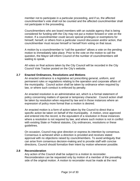member not to participate in a particular proceeding, and if so, the affected councilmember's vote shall not be counted and the affected councilmember shall not participate in the proceeding.

Councilmembers who are board members with an outside agency that is being considered for funding with the City may not put a motion forward or vote on the motion. If a councilmember could secure special privileges or exemptions for himself, herself, or others from a particular council discussion and/or action, that councilmember must recuse himself or herself from voting on that issue.

A motion by a councilmember to "call the question" allows a vote on the pending motion to immediately take place. Prior to the vote on the motion to call the question, the Mayor will inform Council of the number of councilmembers still waiting to speak.

All votes on final actions taken by the City Council will be recorded in the City Council Vote Tracker posted on the City's website.

### <span id="page-13-0"></span>**2.7 Enacted Ordinances, Resolutions and Motions**

An enacted ordinance is a legislative act prescribing general, uniform, and permanent rules or regulations relating to the operation and corporate affairs of the municipality. Council action shall be taken by ordinance when required by law, or where such conduct is enforced by penalty.

An enacted resolution is an administrative act, which is a formal statement of policy concerning matters of special or temporary character. Council action shall be taken by resolution when required by law and in those instances where an expression of policy more formal than a motion is desired.

An enacted motion is a form of action taken by the Council to direct that a specific action be taken on behalf of the municipality. A motion, once approved and entered into the record, is the equivalent of a resolution in those instances where a resolution is not required by law, and where such motion is not in conflict with existing State or Federal statutes, City ordinances, resolutions or these guidelines.

On occasion, Council may give direction or express its intention by consensus. Consensus is achieved when a direction is provided and receives stated approval with no objections raised by councilmembers. To avoid ambiguity that can arise from consensus decision-making and to provide staff with concise directions, Council should formalize their intent by motion whenever possible.

#### <span id="page-13-1"></span>**2.8 Reconsideration**

Any action of the Council shall be subject to a motion to reconsider. Reconsideration can be requested only by motion of a member of the prevailing side of the original motion. A motion to reconsider must be made at the next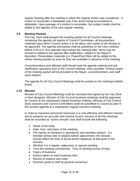regular meeting after the meeting in which the original motion was considered. A motion to reconsider is debatable only if the action being reconsidered is debatable. Upon passage of a motion to reconsider, the subject matter shall be added to the agenda of the next regular meeting.

## <span id="page-14-0"></span>**2.9 Meeting Packets**

The City Clerk shall prepare the meeting packet for all Council meetings containing the agenda, all reports of Council Committees, all documentary materials upon which Council action is to be taken, and copies of all minutes to be approved. The agenda and packet shall be published on the City's website before 5:00 p.m. five calendar days before the meeting date. Items may be revised or added to the agenda after publication, subject to the Mayor's discretion. Presentation materials (i.e. PowerPoint files) will be added to the online meeting packet as soon as they are available in advance of the meeting.

Councilmembers and affected staff should read the agenda material and ask clarification questions prior to the Council meeting, when possible. Printed copies of the meeting packet will be provided to the Mayor, councilmembers, and staff upon request.

The agenda for all City Council Meetings shall be posted on the meetings bulletin board.

#### <span id="page-14-1"></span>**2.10 Minutes**

Minutes of City Council Meetings shall be recorded and signed by the City Clerk or their designee. Minutes of City Council business meetings shall be approved by Council at the subsequent regular business meeting. Minutes of City Council study sessions and Council Committees shall be submitted to Council as part of the consent agenda at a subsequent regular business meeting.

In order to maximize personnel resources in a cost-effective and efficient manner and to preserve an accurate and concise record, minutes of all City meetings shall be recorded as "action minutes" and shall include the following:

- Name of the body.
- Date, hour, and place of the meeting.
- The names of members in attendance and members absent. If a member arrives late or departs before adjournment, the minutes should reflect the time of arrival and/or departure at that point in the minutes.
- Whether it is a regular, adjourned, or special meeting.
- Time the meeting commenced. Time of meeting recess (if any).
- Topics of business
- Actions taken on each business item
- Record of motions and votes
- Direction given to staff by general consensus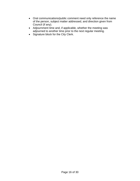- Oral communications/public comment need only reference the name of the person, subject matter addressed, and direction given from Council (if any).
- Adjournment time and, if applicable, whether the meeting was adjourned to another time prior to the next regular meeting.
- Signature block for the City Clerk.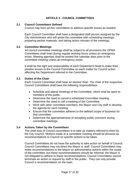## **ARTICLE 3 - COUNCIL COMMITTEES**

### <span id="page-16-1"></span><span id="page-16-0"></span>**3.1 Council Committees Defined**

Council may form *ad hoc* committees to address specific issues as needed.

Each Council Committee shall have a designated staff person assigned by the City Administrator who will assist the committee with scheduling meetings, preparing packet materials, and taking action minutes of the meetings.

#### <span id="page-16-2"></span>**3.2 Committee Meetings**

All council committee meetings shall be subject to all provisions the OPMA. Committees shall meet during regular working hours unless an emergency exists. Meeting agendas shall be posted five calendar days prior to the committee meeting unless an emergency exists.

It shall be the right and responsibility of each Department Head to make their position known to the Council Committee on each matter for Council action affecting the Department referred to the Committee.

### <span id="page-16-3"></span>**3.3 Duties of the Chair**

Each Council Committee shall have an elected chair. The chair of the respective Council Committees shall have the following responsibilities:

- Schedule and attend meetings of the Committee, which shall be open to members of the public.
- Determine the need to cancel a scheduled Committee meeting.
- Determine the need to call a meeting of the Committee.
- Work with other committee members, the Mayor and City staff to develop the agenda for each meeting.
- Ensure that the committee adheres to the defined scope of business for that committee.
- Determine the appropriateness of accepting public comment during committee meetings.

## <span id="page-16-4"></span>**3.4 Actions Taken by the Committees**

The chief duty of Council committees is to take up matters referred to them by the City Council. Motions made at a committee meeting should be phrased as recommendations to Council on specific actions to be taken.

Council Committees do not have the authority to take action on behalf of Council. Council Committees may not direct the Mayor or staff. Council Committees may make recommendations to the Mayor on administrative actions within the scope of the committee, but these recommendations should be informal; the Mayor is not obligated to adhere to these recommendations. Council Committees cannot terminate an action or request by staff or the public. They can only provide Council a recommendation on the topic.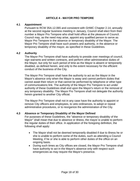## **ARTICLE 4 - MAYOR PRO TEMPORE**

#### <span id="page-17-1"></span><span id="page-17-0"></span>**4.1 Appointment**

Pursuant to RCW 35A.12.065 and consistent with GHMC Chapter 2.14, annually at the second regular business meeting in January, Council shall elect from their number a Mayor Pro Tempore who shall hold office at the pleasure of Council. Council may, as the need may arise, appoint any qualified person to serve as Mayor Pro Tempore in the absence or temporary disability of the Mayor. The Mayor Pro Tempore shall have such powers and authority, in the absence or temporary disability of the mayor, as specified in these Guidelines.

#### <span id="page-17-2"></span>**4.2 Authority**

The Mayor Pro Tempore shall have authority to preside over meetings of council, sign warrants and written contracts, and perform other administrative duties of the Mayor, but only for such period of time as the Mayor is absent or temporarily disabled, as defined herein, and only to the extent necessary for the efficient conduct of the business of the City.

The Mayor Pro Tempore shall have the authority to act as the Mayor in the Mayor's absence only when the Mayor is away and cannot perform duties that cannot await their return or that cannot be performed by telephone or other type of communications link. The authority of the Mayor Pro Tempore to act under authority of these Guidelines shall end upon the Mayor's return or the removal of any temporary disability. The Mayor Pro Tempore shall not delegate the authority herein granted to another City official.

The Mayor Pro Tempore shall not in any case have the authority to appoint or remove City officers and employees, to veto ordinances, to adopt or repeal administrative procedures, or to reorganize the administration of the City.

#### <span id="page-17-3"></span>**4.3 Absence or Temporary Disability of the Mayor Defined**

For purposes of these Guidelines, the "absence or temporary disability of the Mayor" shall mean that due to absence or illness, the mayor is unable to perform the regular duties of their office. In application of the foregoing definition, the following shall apply:

- The Mayor shall not be deemed temporarily disabled if due to illness he or she is unable to perform some of the duties, such as attending a Council Meeting, if he or she is able to perform other duties of the office on an ongoing basis.
- During such times as City offices are closed, the Mayor Pro Tempore shall have authority to act in the Mayor's absence only with respect such emergencies as may require the Mayor's presence.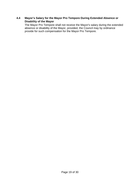## <span id="page-18-0"></span>**4.4 Mayor's Salary for the Mayor Pro Tempore During Extended Absence or Disability of the Mayor**

The Mayor Pro Tempore shall not receive the Mayor's salary during the extended absence or disability of the Mayor, provided, the Council may by ordinance provide for such compensation for the Mayor Pro Tempore.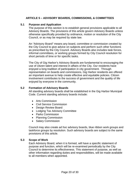## **ARTICLE 5 – ADVISORY BOARDS, COMMISSIONS, & COMMITTEES**

### <span id="page-19-1"></span><span id="page-19-0"></span>**5.1 Purpose and Application**

The purpose of this section is to establish general provisions applicable to all Advisory Boards. The provisions of this article govern Advisory Boards unless otherwise specifically provided by ordinance, motion or resolution of the City Council, or as may be required by state law.

An "Advisory Board" means any board, committee or commission created by the City Council to give advice on subjects and perform such other functions as prescribed by the City Council. Advisory Boards also includes task forces, informal committees, or working groups formed by City Council resolution for short periods of time or for specific tasks.

The City of Gig Harbor's Advisory Boards are fundamental to encouraging the use of citizen talent and interest in affairs of the City. Our residents have enjoyed a long tradition of participation in city government. Through representation on boards and commissions, Gig Harbor residents are offered an important avenue to help create effective and equitable policies. Citizen involvement contributes to the success of government and the quality of life enjoyed by everyone in the community.

### <span id="page-19-2"></span>**5.2 Formation of Advisory Boards**

All standing advisory boards shall be established in the Gig Harbor Municipal Code. Current standing advisory boards include:

- Arts Commission
- Civil Service Commission
- Design Review Board
- Lodging Tax Advisory Committee
- Parks Commission
- Planning Commission
- Salary Commission

Council may also create *ad hoc* advisory boards, blue ribbon work groups and taskforce groups by resolution. Such advisory boards are subject to the same provisions of this article.

## <span id="page-19-3"></span>**5.3 Scope of Work**

Each Advisory Board, when it is formed, will have a specific statement of purpose and function, which will be re-examined periodically by the City Council to determine its effectiveness. This statement of purpose, as well as other information regarding duties and responsibilities, will be made available to all members when appointed.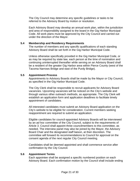The City Council may determine any specific guidelines or tasks to be referred to the Advisory Board by motion or resolution.

Each Advisory Board may develop an annual work plan, within the jurisdiction and area of responsibility assigned to the board in the Gig Harbor Municipal Code. All work plans must be approved by the City Council and carried out under the direction of the Mayor.

#### <span id="page-20-0"></span>**5.4 Membership and Residency Requirements**

The number of members and any specific qualifications of each standing Advisory Board shall be set forth in the Gig Harbor Municipal Code.

Unless otherwise specifically provided in the Gig Harbor Municipal Code, or as may be required by state law, each person at the time of nomination and continuing uninterrupted thereafter while serving on an Advisory Board shall be a resident of the greater Gig Harbor area within Pierce County (west of the Tacoma Narrows Bridge and east of the Purdy Bridge).

#### <span id="page-20-1"></span>**5.5 Appointment Process**

Appointments to Advisory Boards shall be made by the Mayor or City Council, as specified in the Gig Harbor Municipal Code.

The City Clerk shall be responsible to recruit applicants for Advisory Board vacancies. Upcoming vacancies will be noticed on the City's website and through various other outreach methods, as appropriate. The City Clerk will establish an application form and application deadlines to facilitate timely appointment of candidates.

All interested candidates must submit an Advisory Board application on the City's website to be eligible for consideration. Current members seeking reappointment are required to submit an application.

Eligible candidates for council-appointed Advisory Boards will be interviewed by an *ad hoc* committee of the City Council, subject to the requirements of Article 3. Council shall appoint three councilmembers to this committee, as needed. The interview panel may also be joined by the Mayor, the Advisory Board Chair and the designated staff liaison, at their discretion. The committee will forward its recommendations to Council for approval on the consent agenda of the next regular City Council meeting.

Candidates shall be deemed appointed and shall commence service after confirmation by the City Council.

#### <span id="page-20-2"></span>**5.6 Appointment Terms**

Each appointee shall be assigned a specific numbered position on each Advisory Board. Each confirmation motion by the Council shall include ending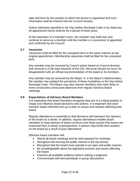date and term for the position to which the person is appointed and such information shall be entered into the Council minutes.

Unless otherwise specified in the Gig Harbor Municipal Code or by State law, all appointment terms shall be for a period of three years.

At the expiration of a member's term, the member may hold over and continue to serve as a member until the member or a successor is appointed and confirmed by the Council.

#### <span id="page-21-0"></span>**5.7 Vacancies**

Vacancies shall be filled for the unexpired term in the same manner as the original appointment. Membership vacancies shall be filled for the unexpired term.

Any member may be removed by Council action based on Council decision that removal is in the best interests of the City. Removal should not occur for disagreement with an official recommendation of the board or its members.

Any member may be removed by the Mayor, if, in the Mayor's determination, the member has violated the provisions of these Guidelines or the Gig Harbor Municipal Code. The Mayor may also remove members who have three or more consecutive unexcused absences from regular Advisory Board meetings.

#### <span id="page-21-1"></span>**5.8 Expectations of Advisory Board Members**

It is imperative that board members recognize they are in a critical position to shape and influence board decisions and actions. It is important that each member keeps informed and up to date on issues and statutes affecting their board.

Regular attendance is essential so that decisions will represent the opinions of the board as a whole. In addition, regular attendance enables board members to keep abreast of board concerns and helps ensure that issues are examined from a variety of perspectives. A person may forfeit their position on the board as a result of poor attendance.

Effective board members will:

- Attend all board meetings and be well prepared for meetings.
- Recognize that serving the public interest is the top priority.
- Recognize that the board must operate in an open and public manner.
- Be knowledgeable about the legislative process and issues affecting the board.
- Examine all available evidence before making a judgment.
- Communicate well and participate in group discussions.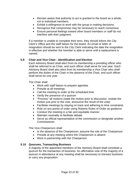- Remain aware that authority to act is granted to the board as a whole, not to individual members.
- Exhibit a willingness to work with the group in making decisions.
- Recognize that compromise may be necessary to reach consensus.
- Ensure personal feelings toward other board members or staff do not interfere with their judgment.

If a member is unable to complete their term, they should inform the City Clerk's Office and the staff liaison for the board. An email or letter of resignation should be sent to the City Clerk indicating the date the resignation is effective and whether the member is able to serve until a replacement is named.

### <span id="page-22-0"></span>**5.9 Chair and Vice Chair - Identification and Election**

Each Advisory Board shall elect from its membership a presiding officer who shall be referred to as Chair, and such officer shall serve for one year. Each Advisory Board shall also elect from its membership a Vice Chair who shall perform the duties of the Chair in the absence of the Chair, and such officer shall serve for one year.

The Chair shall:

- Work with staff liaison to prepare agendas
- Preside at all meetings
- Call the meeting to order at the scheduled time
- Verify the presence of a quorum
- "Process" all motions (state the motion prior to discussion, restate the motion just prior to the vote, announce the result of the vote)
- Facilitate meetings by staying on track and adhering to time constraints
- Rule on any points of order using Roberts Rules of Order as guidance
- Conduct the meeting in a fair and equitable manner
- Maintain neutrality to facilitate debate
- Serve as official representative of the commission or designate another **Commissioner**

The Vice‐Chairperson shall:

- In the absence of the Chairperson, assume the role of the Chairperson
- Preside at any meeting where the Chairperson is absent
- Work in partnership with the Chairperson

## <span id="page-22-1"></span>**5.10 Quorums, Transacting Business**

A majority of the appointed members of the Advisory Board shall constitute a quorum for the transaction of business. An affirmative vote of the majority of a quorum in attendance at any meeting shall be necessary to transact business or carry any proposition.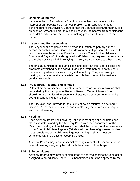### <span id="page-23-0"></span>**5.11 Conflicts of Interest**

If any members of an Advisory Board conclude that they have a conflict of interest or an appearance of fairness problem with respect to a matter pending before the Advisory Board so that they cannot discharge their duties on such an Advisory Board, they shall disqualify themselves from participating in the deliberations and the decision-making process with respect to the matter.

#### <span id="page-23-1"></span>**5.12 Liaisons and Representatives**

The Mayor shall designate a staff person to function as primary support person for each Advisory Board. The designated staff person will serve as the liaison between the Advisory Board and the City Council, other Advisory Boards and City staff. The designated staff liaison may request the assistance of the Chair or Vice Chair in relaying Advisory Board matters to other bodies.

The primary function of the staff liaison is to carry out the rules, policies and programs developed by the board. In addition, staff members notify board members of pertinent issues and legislative activity. They also arrange meetings, prepare meeting materials, compile background information and conduct research.

### <span id="page-23-2"></span>**5.13 Procedures, Records, and Minutes**

Rules of order not specified by statute, ordinance or Council resolution shall be guided by the principles of Robert's Rules of Order. Advisory Boards should not allow strict adherence to Roberts Rules of Order to impede the board in conducting its business.

The City Clerk shall provide for the taking of action minutes, as defined in Section 2.10 of these Guidelines, and maintaining the records of all regular and special meetings.

#### <span id="page-23-3"></span>**5.14 Meetings**

Each Advisory Board shall hold regular public meetings at such times and places as determined by the Advisory Board with the concurrence of the Mayor. All meetings of an Advisory Board shall be subject to all requirements of the Open Public Meetings Act (OPMA). All members of governing bodies must complete Open Public Meetings Act training. Training must be completed within 90 days of assuming duties.

Advisory Boards may request special meetings to deal with specific matters. Special meetings may only be held with the consent of the Mayor.

#### <span id="page-23-4"></span>**5.15 Subcommittees**

Advisory Boards may form subcommittees to address specific tasks or issues assigned to an Advisory Board. All subcommittees must be approved by the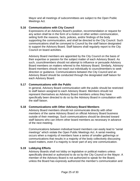Mayor and all meetings of subcommittees are subject to the Open Public Meetings Act.

### <span id="page-24-0"></span>**5.16 Communications with City Council**

Expressions of an Advisory Board's position, recommendation or request for any action shall be in the form of a motion or other written communication, setting forth the reasons, facts, policies, and/or findings of the body supporting the communication, and shall be directed to the City Council. Such communications shall be conveyed to Council by the staff liaison designated to support the Advisory Board. Staff liaisons shall regularly report to the City Council on board activities.

Advisory Board members are appointed by the City Council on the basis of their expertise or passion for the subject matter of each Advisory Board. As such, councilmembers should not attempt to influence or persuade Advisory Board members on matters referred to the Advisory Board. Similarly, Advisory Board members should not reach out individually to councilmembers to seek direction or guidance. Communications between the City Council and an Advisory Board should be conducted through the designated staff liaison for each Advisory Board.

## <span id="page-24-1"></span>**5.17 Communications with the Public**

In general, Advisory Board communication with the public should be restricted to staff liaison assigned to each Advisory Board. Members should not represent themselves as Advisory Board members unless they have specifically been directed to do so by the Advisory Board in consultation with the staff liaison.

## <span id="page-24-2"></span>**5.18 Communications with Other Advisory Board Members**

Advisory Board members should not communicate directly with other members of the same Advisory Board on official Advisory Board business outside of their meetings. Such communications should be directed toward staff liaisons who can inform other board members as necessary in advance of the next meeting.

Communications between individual board members can easily lead to "serial meetings" which violate the Open Public Meetings Act. A serial meeting occurs when a majority of members have a series of smaller gatherings or communications that results in a majority of the body collectively discussing board matters, even if a majority is never part of any one communication.

#### <span id="page-24-3"></span>**5.19 Lobbying Efforts**

Advisory Boards shall not lobby on legislative or political matters unless specifically directed or authorized to do so by the City Council or the Mayor. A member of the Advisory Board is not authorized to speak for the Board, unless the Board has expressly authorized the member's communication and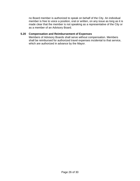no Board member is authorized to speak on behalf of the City. An individual member is free to voice a position, oral or written, on any issue as long as it is made clear that the member is not speaking as a representative of the City or as a member of an Advisory Board.

## <span id="page-25-0"></span>**5.20 Compensation and Reimbursement of Expenses**

Members of Advisory Boards shall serve without compensation. Members shall be reimbursed for authorized travel expenses incidental to that service, which are authorized in advance by the Mayor.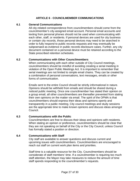## **ARTICLE 6** - **COUNCILMEMBER COMMUNICATIONS**

#### <span id="page-26-1"></span><span id="page-26-0"></span>**6.1 General Communications**

All city-related correspondence from councilmembers should come from the councilmember's city-assigned email account. Personal email accounts and texting from personal phones should not be used when communicating with each other, staff, or residents. If personal devices are used for city business or contain city records, those personal devices may need to be searched in order to fully respond to public records requests and may eventually be subpoenaed as evidence in public records disclosure cases. Further, any city document contained on a personal device must be retained according to the State prescribed retention schedules.

#### <span id="page-26-2"></span>**6.2 Communications with Other Councilmembers**

When communicating with each other outside of City Council meetings, councilmembers should be mindful of avoiding creating a serial meeting in violation of the Open Public Meetings Act. It is important to remember that serial meetings are not limited to simple email chains. They can be created by a combination of personal conversations, text messages, emails or other forms of communication.

Emails sent to the entire Council should be strictly *informational* in nature. Opinions should be withheld from emails and should be shared during a noticed public meeting. Once one councilmember has stated their opinion on a group email, all other councilmembers are thereafter prevented from stating their own opinions on the matter via email. The spirit of the OPMA is that councilmembers should express their ideas and opinions openly and transparently in a public meeting. City council meetings and study sessions are the appropriate time to make known opinions and discuss ideas amongst Council.

#### <span id="page-26-3"></span>**6.3 Communications with the Public**

Councilmembers are free to discuss their ideas and opinions with residents. When stating an opinion or preference, councilmembers should be clear that they are not speaking on behalf of the City or the City Council, unless Council has formally stated a position or direction.

#### <span id="page-26-4"></span>**6.4 Communications with Staff**

City staff are available to answer questions and discuss current and upcoming issues with councilmembers. Councilmembers are encouraged to reach out staff on current work plan items and priorities.

Staff time is a valuable resource for the City. Councilmembers should be considerate of staff members' time. If a councilmember is requiring too much staff attention, the Mayor may take measures to reduce the amount of time staff spends responding to the councilmember's requests.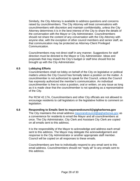Similarly, the City Attorney is available to address questions and concerns raised by councilmembers. The City Attorney will treat conversations with councilmembers with discretion and maintain confidentiality, unless the City Attorney determines it is in the best interest of the City to share the details of the conversation with the Mayor or City Administrator. Councilmembers should not share the content of any conversation with the City Attorney with anyone else, with the exception of other council members and senior staff, as that communication may be protected as Attorney-Client Privileged Communication.

Councilmembers may not direct staff in any manner. Suggestions for staff direction must be directed to the Mayor or City Administrator. Ideas and proposals that may impact the City's budget or staff time should first be brought up with the City Administrator.

#### <span id="page-27-0"></span>**6.5 Lobbying Efforts**

Councilmembers shall not lobby on behalf of the City on legislative or political matters unless the City Council has formally taken a position on the matter. A councilmember is not authorized to speak for the Council, unless the Council has expressly authorized the member's communication. An individual councilmember is free to voice a position, oral or written, on any issue as long as it is made clear that the councilmember is not speaking as a representative of the City.

Per RCW 42.17A, Councilmembers and other City officials are not allowed to encourage residents to call legislators or the legislative hotline to comment on legislation.

#### <span id="page-27-1"></span>**6.6 Responding to Emails Sent to [mayorandcouncil@gigharborwa.gov](mailto:mayorandcouncil@gigharborwa.gov)**

The City maintains the email address [mayorandcouncil@gigharborwa.gov](mailto:mayorandcouncil@gigharborwa.gov) as a convenience for residents to email the Mayor and all councilmembers at once. The City Administrator, City Clerk and Assistant City Clerk are copied on all emails sent to this address.

It is the responsibility of the Mayor to acknowledge and address each email sent to this address. The Mayor may delegate the acknowledgement and response to the City Administrator or another appropriate staff member. Council will be copied on all responses to these emails.

Councilmembers are free to individually respond to any email sent to this email address. Councilmembers should not "reply all" to any emails sent to this address.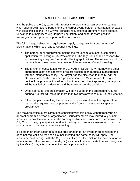## **ARTICLE 7 - PROCLAMATION POLICY**

<span id="page-28-0"></span>It is the policy of the City to consider requests to proclaim certain events or causes when such proclamations pertain to a Gig Harbor event, person, organization, or cause with local implications. The City will consider requests that are timely, have potential relevance to a majority of Gig Harbor's population, and either forward positive messages or call upon the support of the community.

The following guidelines and requirements apply to requests for consideration of proclamations which are read at Council meetings:

- The person(s) or organization making the request must submit a completed application requesting a City Proclamation. The City Clerk shall be responsible for developing a request form and collecting applications. The request should be made at least three weeks in advance of the requested Council meeting.
- The Mayor, in consultation with the City Administrator, City Attorney and other appropriate staff, shall approve or reject proclamation requests in accordance with the intent of this policy. The Mayor has the discretion to modify, edit, or otherwise amend the proposed proclamation. The Mayor retains the right to decide if the proclamation will or will not be issued. If not approved, the applicant will be notified of the decision and the reason(s) for the decision.
- Once approved, the proclamation will be included on the appropriate Council agenda. Council will make no more than two proclamations at a Council Meeting.
- **Either the person making the request or a representative of the organization** making the request must be present at the Council meeting to accept the proclamation.

The Mayor may issue proclamations consistent with this policy without receiving an application from a person or organization. Councilmembers may individually submit requests for proclamations under the same guidelines and procedure listed above. The City Council may, by majority vote, direct the Mayor to prepare a resolution in lieu of a proclamation to be read at a future meeting.

If a person or organization requests a proclamation for an event or presentation and does not request it be read at a Council meeting, the same policy will apply. The requestor must arrange with the City Clerk's office to either pick up the proclamation or have it mailed. Upon request, the Mayor (or a councilmember or staff person designated by the Mayor) may attend an event to read a proclamation.